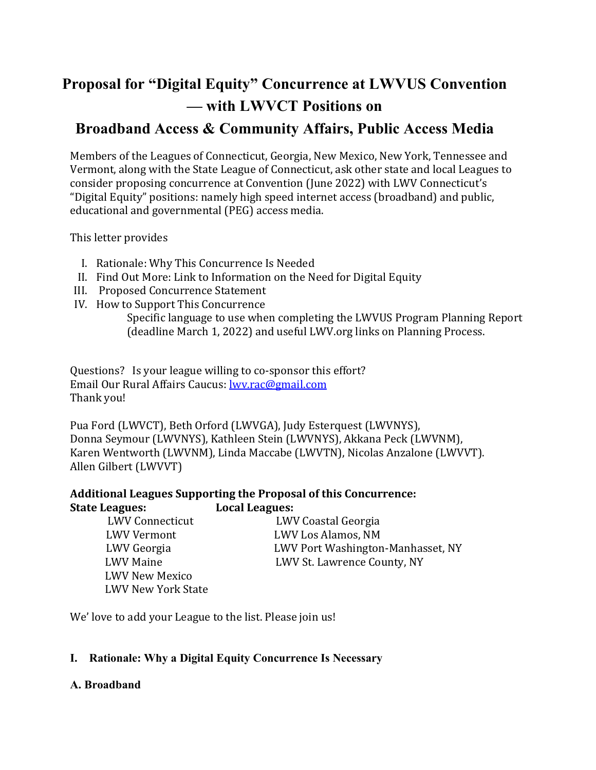# **Proposal for "Digital Equity" Concurrence at LWVUS Convention — with LWVCT Positions on**

# **Broadband Access & Community Affairs, Public Access Media**

Members of the Leagues of Connecticut, Georgia, New Mexico, New York, Tennessee and Vermont, along with the State League of Connecticut, ask other state and local Leagues to consider proposing concurrence at Convention (June 2022) with LWV Connecticut's "Digital Equity" positions: namely high speed internet access (broadband) and public, educational and governmental (PEG) access media.

This letter provides

- I. Rationale: Why This Concurrence Is Needed
- II. Find Out More: Link to Information on the Need for Digital Equity
- III. Proposed Concurrence Statement
- IV. How to Support This Concurrence

Specific language to use when completing the LWVUS Program Planning Report (deadline March 1, 2022) and useful LWV.org links on Planning Process.

Questions? Is your league willing to co-sponsor this effort? Email Our Rural Affairs Caucus: [lwv.rac@gmail.com](mailto:lwv.rac@gmail.com) Thank you!

Pua Ford (LWVCT), Beth Orford (LWVGA), Judy Esterquest (LWVNYS), Donna Seymour (LWVNYS), Kathleen Stein (LWVNYS), Akkana Peck (LWVNM), Karen Wentworth (LWVNM), Linda Maccabe (LWVTN), Nicolas Anzalone (LWVVT). Allen Gilbert (LWVVT)

# **Additional Leagues Supporting the Proposal of this Concurrence: State Leagues: Local Leagues:**

LWV New Mexico LWV New York State

LWV Connecticut LWV Coastal Georgia<br>LWV Vermont LWV Los Alamos, NM LWV Vermont LWV Los Alamos, NM LWV Georgia LWV Port Washington-Manhasset, NY LWV St. Lawrence County, NY

We' love to add your League to the list. Please join us!

# **I. Rationale: Why a Digital Equity Concurrence Is Necessary**

# **A. Broadband**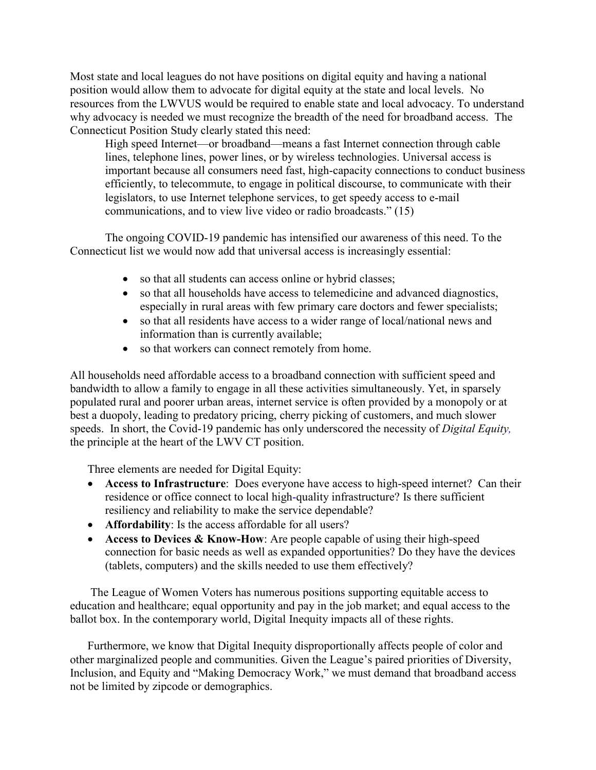Most state and local leagues do not have positions on digital equity and having a national position would allow them to advocate for digital equity at the state and local levels. No resources from the LWVUS would be required to enable state and local advocacy. To understand why advocacy is needed we must recognize the breadth of the need for broadband access. The Connecticut Position Study clearly stated this need:

High speed Internet—or broadband—means a fast Internet connection through cable lines, telephone lines, power lines, or by wireless technologies. Universal access is important because all consumers need fast, high-capacity connections to conduct business efficiently, to telecommute, to engage in political discourse, to communicate with their legislators, to use Internet telephone services, to get speedy access to e-mail communications, and to view live video or radio broadcasts." (15)

The ongoing COVID-19 pandemic has intensified our awareness of this need. To the Connecticut list we would now add that universal access is increasingly essential:

- so that all students can access online or hybrid classes;
- so that all households have access to telemedicine and advanced diagnostics, especially in rural areas with few primary care doctors and fewer specialists;
- so that all residents have access to a wider range of local/national news and information than is currently available;
- so that workers can connect remotely from home.

All households need affordable access to a broadband connection with sufficient speed and bandwidth to allow a family to engage in all these activities simultaneously. Yet, in sparsely populated rural and poorer urban areas, internet service is often provided by a monopoly or at best a duopoly, leading to predatory pricing, cherry picking of customers, and much slower speeds. In short, the Covid-19 pandemic has only underscored the necessity of *Digital Equity,* the principle at the heart of the LWV CT position.

Three elements are needed for Digital Equity:

- **Access to Infrastructure**: Does everyone have access to high-speed internet? Can their residence or office connect to local high-quality infrastructure? Is there sufficient resiliency and reliability to make the service dependable?
- **Affordability**: Is the access affordable for all users?
- **Access to Devices & Know-How**: Are people capable of using their high-speed connection for basic needs as well as expanded opportunities? Do they have the devices (tablets, computers) and the skills needed to use them effectively?

The League of Women Voters has numerous positions supporting equitable access to education and healthcare; equal opportunity and pay in the job market; and equal access to the ballot box. In the contemporary world, Digital Inequity impacts all of these rights.

Furthermore, we know that Digital Inequity disproportionally affects people of color and other marginalized people and communities. Given the League's paired priorities of Diversity, Inclusion, and Equity and "Making Democracy Work," we must demand that broadband access not be limited by zipcode or demographics.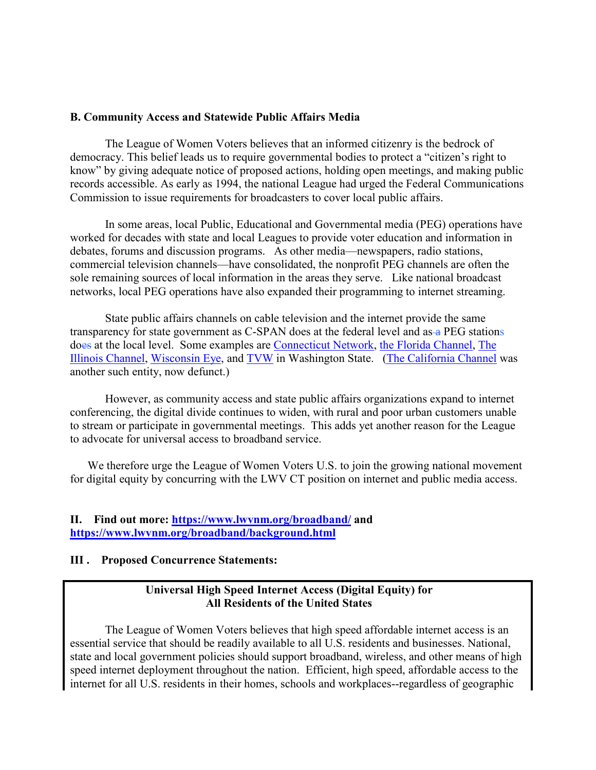#### **B. Community Access and Statewide Public Affairs Media**

The League of Women Voters believes that an informed citizenry is the bedrock of democracy. This belief leads us to require governmental bodies to protect a "citizen's right to know" by giving adequate notice of proposed actions, holding open meetings, and making public records accessible. As early as 1994, the national League had urged the Federal Communications Commission to issue requirements for broadcasters to cover local public affairs.

In some areas, local Public, Educational and Governmental media (PEG) operations have worked for decades with state and local Leagues to provide voter education and information in debates, forums and discussion programs. As other media—newspapers, radio stations, commercial television channels—have consolidated, the nonprofit PEG channels are often the sole remaining sources of local information in the areas they serve. Like national broadcast networks, local PEG operations have also expanded their programming to internet streaming.

State public affairs channels on cable television and the internet provide the same transparency for state government as C-SPAN does at the federal level and as  $\triangle$  PEG stations does at the local level. Some examples are [Connecticut Network,](https://ct-n.com/default.asp) [the Florida Channel,](https://thefloridachannel.org/) [The](http://www.illinoischannel.org/)  [Illinois Channel,](http://www.illinoischannel.org/) [Wisconsin Eye,](https://wiseye.org/) and [TVW](https://www.tvw.org/) in Washington State. [\(The California Channel](https://en.wikipedia.org/wiki/The_California_Channel) was another such entity, now defunct.)

However, as community access and state public affairs organizations expand to internet conferencing, the digital divide continues to widen, with rural and poor urban customers unable to stream or participate in governmental meetings. This adds yet another reason for the League to advocate for universal access to broadband service.

We therefore urge the League of Women Voters U.S. to join the growing national movement for digital equity by concurring with the LWV CT position on internet and public media access.

#### **II. Find out more: <https://www.lwvnm.org/broadband/> and <https://www.lwvnm.org/broadband/background.html>**

#### **III . Proposed Concurrence Statements:**

## **Universal High Speed Internet Access (Digital Equity) for All Residents of the United States**

The League of Women Voters believes that high speed affordable internet access is an essential service that should be readily available to all U.S. residents and businesses. National, state and local government policies should support broadband, wireless, and other means of high speed internet deployment throughout the nation. Efficient, high speed, affordable access to the internet for all U.S. residents in their homes, schools and workplaces--regardless of geographic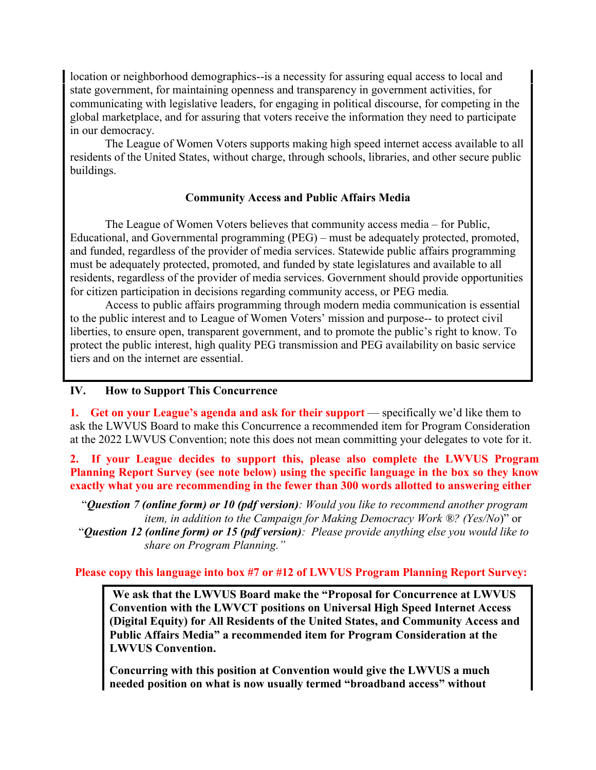location or neighborhood demographics--is a necessity for assuring equal access to local and state government, for maintaining openness and transparency in government activities, for communicating with legislative leaders, for engaging in political discourse, for competing in the global marketplace, and for assuring that voters receive the information they need to participate in our democracy.

The League of Women Voters supports making high speed internet access available to all residents of the United States, without charge, through schools, libraries, and other secure public buildings.

## **Community Access and Public Affairs Media**

The League of Women Voters believes that community access media – for Public, Educational, and Governmental programming (PEG) – must be adequately protected, promoted, and funded, regardless of the provider of media services. Statewide public affairs programming must be adequately protected, promoted, and funded by state legislatures and available to all residents, regardless of the provider of media services. Government should provide opportunities for citizen participation in decisions regarding community access, or PEG media*.*

Access to public affairs programming through modern media communication is essential to the public interest and to League of Women Voters' mission and purpose-- to protect civil liberties, to ensure open, transparent government, and to promote the public's right to know. To protect the public interest, high quality PEG transmission and PEG availability on basic service tiers and on the internet are essential.

**IV. How to Support This Concurrence**

**1.** Get on your League's agenda and ask for their support — specifically we'd like them to ask the LWVUS Board to make this Concurrence a recommended item for Program Consideration at the 2022 LWVUS Convention; note this does not mean committing your delegates to vote for it.

**2. If your League decides to support this, please also complete the LWVUS Program**  Planning Report Survey (see note below) using the specific language in the box so they know **exactly what you are recommending in the fewer than 300 words allotted to answering either**

"*Question 7 (online form) or 10 (pdf version): Would you like to recommend another program item, in addition to the Campaign for Making Democracy Work ®? (Yes/No*)" or "*Question 12 (online form) or 15 (pdf version): Please provide anything else you would like to share on Program Planning."*

# **Please copy this language into box #7 or #12 of LWVUS Program Planning Report Survey:**

**We ask that the LWVUS Board make the "Proposal for Concurrence at LWVUS Convention with the LWVCT positions on Universal High Speed Internet Access (Digital Equity) for All Residents of the United States, and Community Access and Public Affairs Media" a recommended item for Program Consideration at the LWVUS Convention.** 

**Concurring with this position at Convention would give the LWVUS a much needed position on what is now usually termed "broadband access" without**